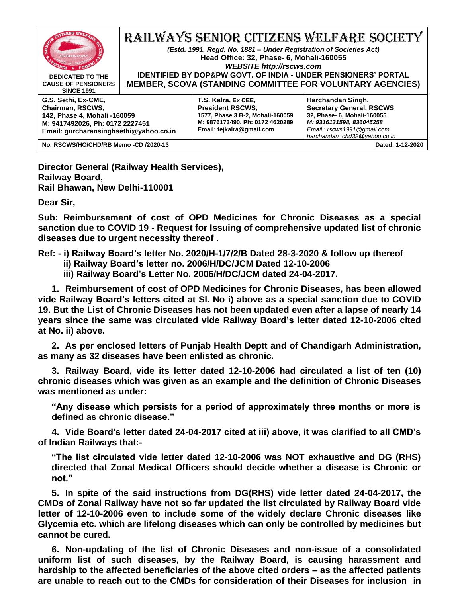

**Director General (Railway Health Services), Railway Board, Rail Bhawan, New Delhi-110001**

**Dear Sir,**

**Sub: Reimbursement of cost of OPD Medicines for Chronic Diseases as a special sanction due to COVID 19 - Request for Issuing of comprehensive updated list of chronic diseases due to urgent necessity thereof .**

**Ref: - i) Railway Board's letter No. 2020/H-1/7/2/B Dated 28-3-2020 & follow up thereof**

- **ii) Railway Board's letter no. 2006/H/DC/JCM Dated 12-10-2006**
- **iii) Railway Board's Letter No. 2006/H/DC/JCM dated 24-04-2017.**

**1. Reimbursement of cost of OPD Medicines for Chronic Diseases, has been allowed vide Railway Board's letters cited at Sl. No i) above as a special sanction due to COVID 19. But the List of Chronic Diseases has not been updated even after a lapse of nearly 14 years since the same was circulated vide Railway Board's letter dated 12-10-2006 cited at No. ii) above.**

**2. As per enclosed letters of Punjab Health Deptt and of Chandigarh Administration, as many as 32 diseases have been enlisted as chronic.**

**3. Railway Board, vide its letter dated 12-10-2006 had circulated a list of ten (10) chronic diseases which was given as an example and the definition of Chronic Diseases was mentioned as under:** 

**"Any disease which persists for a period of approximately three months or more is defined as chronic disease."** 

**4. Vide Board's letter dated 24-04-2017 cited at iii) above, it was clarified to all CMD's of Indian Railways that:-**

**"The list circulated vide letter dated 12-10-2006 was NOT exhaustive and DG (RHS) directed that Zonal Medical Officers should decide whether a disease is Chronic or not."**

**5. In spite of the said instructions from DG(RHS) vide letter dated 24-04-2017, the CMDs of Zonal Railway have not so far updated the list circulated by Railway Board vide letter of 12-10-2006 even to include some of the widely declare Chronic diseases like Glycemia etc. which are lifelong diseases which can only be controlled by medicines but cannot be cured.** 

**6. Non-updating of the list of Chronic Diseases and non-issue of a consolidated uniform list of such diseases, by the Railway Board, is causing harassment and hardship to the affected beneficiaries of the above cited orders – as the affected patients are unable to reach out to the CMDs for consideration of their Diseases for inclusion in**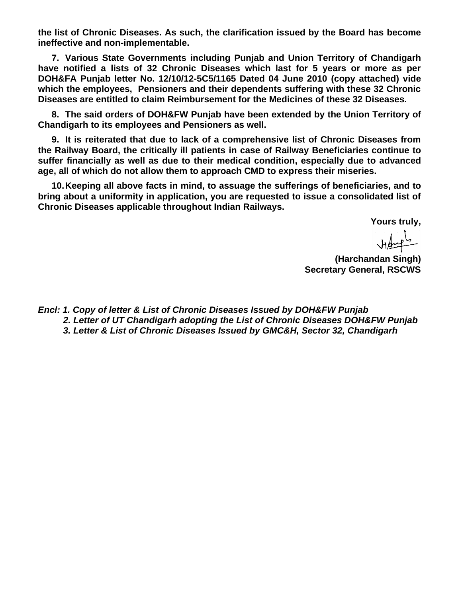**the list of Chronic Diseases. As such, the clarification issued by the Board has become ineffective and non-implementable.**

**7. Various State Governments including Punjab and Union Territory of Chandigarh have notified a lists of 32 Chronic Diseases which last for 5 years or more as per DOH&FA Punjab letter No. 12/10/12-5C5/1165 Dated 04 June 2010 (copy attached) vide which the employees, Pensioners and their dependents suffering with these 32 Chronic Diseases are entitled to claim Reimbursement for the Medicines of these 32 Diseases.**

**8. The said orders of DOH&FW Punjab have been extended by the Union Territory of Chandigarh to its employees and Pensioners as well.**

**9. It is reiterated that due to lack of a comprehensive list of Chronic Diseases from the Railway Board, the critically ill patients in case of Railway Beneficiaries continue to suffer financially as well as due to their medical condition, especially due to advanced age, all of which do not allow them to approach CMD to express their miseries.**

**10.Keeping all above facts in mind, to assuage the sufferings of beneficiaries, and to bring about a uniformity in application, you are requested to issue a consolidated list of Chronic Diseases applicable throughout Indian Railways.** 

**Yours truly,**

 $H_{\text{sup}}^{\text{L}}$ 

**(Harchandan Singh) Secretary General, RSCWS**

*Encl: 1. Copy of letter & List of Chronic Diseases Issued by DOH&FW Punjab 2. Letter of UT Chandigarh adopting the List of Chronic Diseases DOH&FW Punjab 3. Letter & List of Chronic Diseases Issued by GMC&H, Sector 32, Chandigarh*